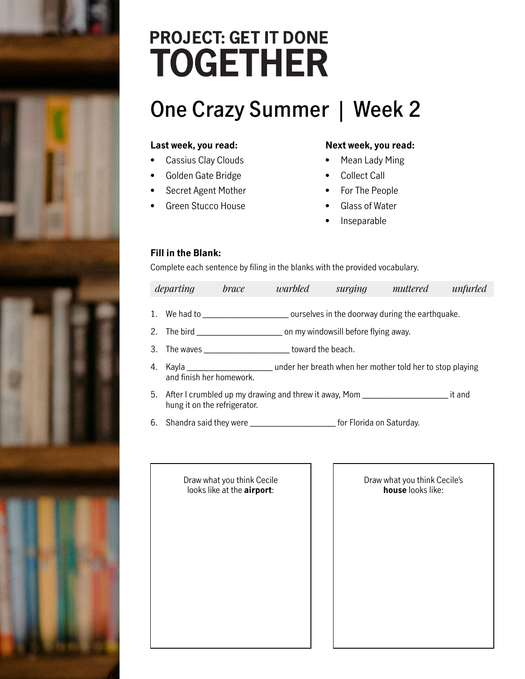## **PROJECT: GET IT DONE TOGETHER**

### **One Crazy Summer | Week 2**

#### **Last week, you read:**

- Cassius Clay Clouds
- Golden Gate Bridge
- Secret Agent Mother
- Green Stucco House

#### **Next week, you read:**

- Mean Lady Ming
- Collect Call
- For The People
- Glass of Water
- **Inseparable**

#### **Fill in the Blank:**

Complete each sentence by filing in the blanks with the provided vocabulary.

|    | departing<br><i>brace</i>         |                                                                                                                                                        | warbled                                                                          | surging | muttered | unfurled |
|----|-----------------------------------|--------------------------------------------------------------------------------------------------------------------------------------------------------|----------------------------------------------------------------------------------|---------|----------|----------|
|    |                                   |                                                                                                                                                        | 1. We had to separate the source ourselves in the doorway during the earthquake. |         |          |          |
|    |                                   | 2. The bird and the state of the state of the state of the state of the state of the state of the state of the<br>on my windowsill before flying away. |                                                                                  |         |          |          |
|    |                                   |                                                                                                                                                        | toward the beach.                                                                |         |          |          |
| 4. | Kayla<br>and finish her homework. |                                                                                                                                                        | ander her breath when her mother told her to stop playing                        |         |          |          |

- 5. After I crumbled up my drawing and threw it away, Mom \_\_\_\_\_\_\_\_\_\_\_\_\_\_\_\_\_\_\_\_\_\_\_\_ it and hung it on the refrigerator.
- 6. Shandra said they were \_\_\_\_\_\_\_\_\_\_\_\_\_\_\_\_\_\_\_\_\_\_\_\_\_ for Florida on Saturday.

Draw what you think Cecile looks like at the **airport**:

Draw what you think Cecile's **house** looks like: